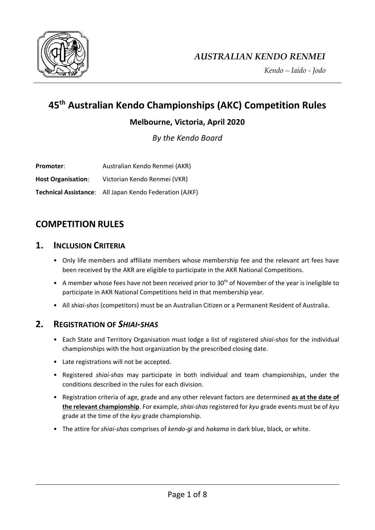

*Kendo – Iaido - Jodo*

# **45th Australian Kendo Championships (AKC) Competition Rules**

## **Melbourne, Victoria, April 2020**

*By the Kendo Board*

**Promoter:** Australian Kendo Renmei (AKR) **Host Organisation**: Victorian Kendo Renmei (VKR) **Technical Assistance**: All Japan Kendo Federation (AJKF)

## **COMPETITION RULES**

## **1. INCLUSION CRITERIA**

- Only life members and affiliate members whose membership fee and the relevant art fees have been received by the AKR are eligible to participate in the AKR National Competitions.
- A member whose fees have not been received prior to 30th of November of the year is ineligible to participate in AKR National Competitions held in that membership year.
- All *shiai-shas* (competitors) must be an Australian Citizen or a Permanent Resident of Australia.

## **2. REGISTRATION OF** *SHIAI-SHAS*

- Each State and Territory Organisation must lodge a list of registered *shiai-shas* for the individual championships with the host organization by the prescribed closing date.
- Late registrations will not be accepted.
- Registered *shiai-shas* may participate in both individual and team championships, under the conditions described in the rules for each division.
- Registration criteria of age, grade and any other relevant factors are determined **as at the date of the relevant championship**. For example, *shiai-shas* registered for *kyu* grade events must be of *kyu* grade at the time of the *kyu* grade championship.
- The attire for *shiai-shas* comprises of *kendo-gi* and *hakama* in dark blue, black, or white.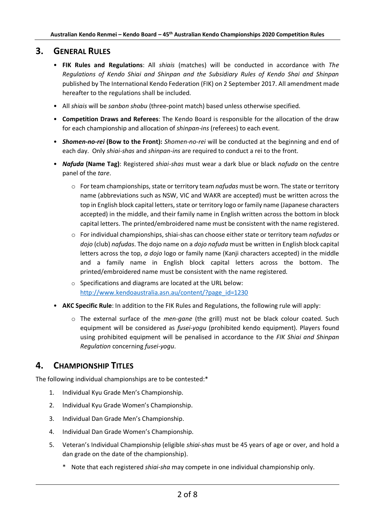## **3. GENERAL RULES**

- **FIK Rules and Regulations**: All *shiais* (matches) will be conducted in accordance with *The Regulations of Kendo Shiai and Shinpan and the Subsidiary Rules of Kendo Shai and Shinpan* published by The International Kendo Federation (FIK) on 2 September 2017. All amendment made hereafter to the regulations shall be included.
- All *shiais* will be *sanbon shobu* (three-point match) based unless otherwise specified.
- **Competition Draws and Referees**: The Kendo Board is responsible for the allocation of the draw for each championship and allocation of *shinpan-ins* (referees) to each event.
- *Shomen-no-rei* **(Bow to the Front):** *Shomen-no-rei* will be conducted at the beginning and end of each day. Only *shiai-shas* and *shinpan-ins* are required to conduct a rei to the front.
- *Nafuda* **(Name Tag)**: Registered *shiai-shas* must wear a dark blue or black *nafuda* on the centre panel of the *tare*.
	- o For team championships, state or territory team *nafudas* must be worn. The state or territory name (abbreviations such as NSW, VIC and WAKR are accepted) must be written across the top in English block capital letters, state or territory logo or family name (Japanese characters accepted) in the middle, and their family name in English written across the bottom in block capital letters. The printed/embroidered name must be consistent with the name registered.
	- o For individual championships, shiai-shas can choose either state or territory team *nafudas* or *dojo* (club) *nafudas*. The dojo name on a *dojo nafuda* must be written in English block capital letters across the top, *a dojo* logo or family name (Kanji characters accepted) in the middle and a family name in English block capital letters across the bottom. The printed/embroidered name must be consistent with the name registered.
	- o Specifications and diagrams are located at the URL below: [http://www.kendoaustralia.asn.au/content/?page\\_id=1230](https://nam05.safelinks.protection.outlook.com/?url=http%3A%2F%2Fwww.kendoaustralia.asn.au%2Fcontent%2F%3Fpage_id%3D1230&data=02%7C01%7C%7Cdf49dc96e3f14eaf9d5f08d6789a95d3%7C84df9e7fe9f640afb435aaaaaaaaaaaa%7C1%7C0%7C636829002679185806&sdata=1YsSGIwtMegBRwYtbLEeFdkjpA0nEWeuZTWCyxnzkVE%3D&reserved=0)
- **AKC Specific Rule**: In addition to the FIK Rules and Regulations, the following rule will apply:
	- o The external surface of the *men-gane* (the grill) must not be black colour coated. Such equipment will be considered as *fusei-yogu* (prohibited kendo equipment). Players found using prohibited equipment will be penalised in accordance to the *FIK Shiai and Shinpan Regulation* concerning *fusei-yogu*.

## **4. CHAMPIONSHIP TITLES**

The following individual championships are to be contested:\*

- 1. Individual Kyu Grade Men's Championship.
- 2. Individual Kyu Grade Women's Championship.
- 3. Individual Dan Grade Men's Championship.
- 4. Individual Dan Grade Women's Championship.
- 5. Veteran's Individual Championship (eligible *shiai-shas* must be 45 years of age or over, and hold a dan grade on the date of the championship).
	- \* Note that each registered *shiai-sha* may compete in one individual championship only.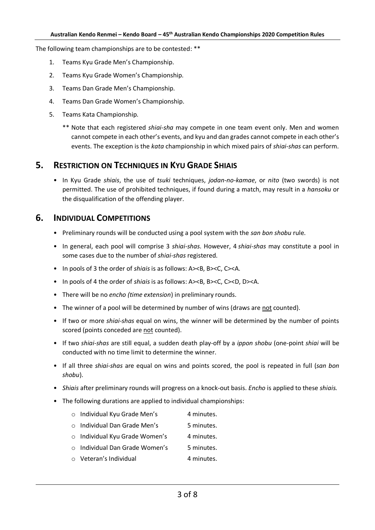The following team championships are to be contested: \*\*

- 1. Teams Kyu Grade Men's Championship.
- 2. Teams Kyu Grade Women's Championship.
- 3. Teams Dan Grade Men's Championship.
- 4. Teams Dan Grade Women's Championship.
- 5. Teams Kata Championship.
	- \*\* Note that each registered *shiai-sha* may compete in one team event only. Men and women cannot compete in each other's events, and kyu and dan grades cannot compete in each other's events. The exception is the *kata* championship in which mixed pairs of *shiai-shas* can perform.

### **5. RESTRICTION ON TECHNIQUES IN KYU GRADE SHIAIS**

• In Kyu Grade *shiais*, the use of *tsuki* techniques, *jodan-no-kamae*, or *nito* (two swords) is not permitted. The use of prohibited techniques, if found during a match, may result in a *hansoku* or the disqualification of the offending player.

## **6. INDIVIDUAL COMPETITIONS**

- Preliminary rounds will be conducted using a pool system with the *san bon shobu* rule.
- In general, each pool will comprise 3 *shiai-shas*. However, 4 *shiai-shas* may constitute a pool in some cases due to the number of *shiai-shas* registered.
- In pools of 3 the order of *shiais* is as follows: A><B, B><C, C><A.
- In pools of 4 the order of *shiais* is as follows: A><B, B><C, C><D, D><A.
- There will be no *encho (time extension*) in preliminary rounds.
- The winner of a pool will be determined by number of wins (draws are not counted).
- If two or more *shiai-shas* equal on wins, the winner will be determined by the number of points scored (points conceded are not counted).
- If two *shiai-shas* are still equal, a sudden death play-off by a *ippon shobu* (one-point *shiai* will be conducted with no time limit to determine the winner.
- If all three *shiai-shas* are equal on wins and points scored, the pool is repeated in full (*san bon shobu*).
- *Shiais* after preliminary rounds will progress on a knock-out basis. *Encho* is applied to these *shiais.*
- The following durations are applied to individual championships:
	- o Individual Kyu Grade Men's 4 minutes.
	- $\circ$  Individual Dan Grade Men's 5 minutes.
	- o Individual Kyu Grade Women's 4 minutes.
	- $\circ$  Individual Dan Grade Women's 5 minutes.
	- o Veteran's Individual 4 minutes.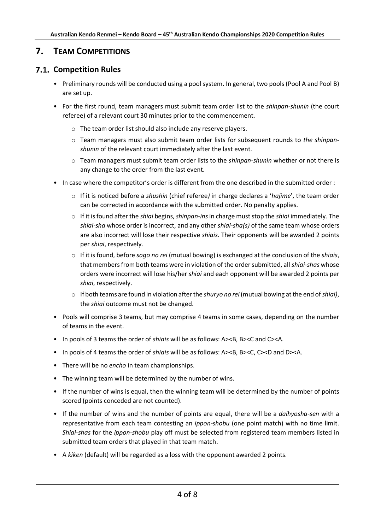## **7. TEAM COMPETITIONS**

## **7.1. Competition Rules**

- Preliminary rounds will be conducted using a pool system. In general, two pools (Pool A and Pool B) are set up.
- For the first round, team managers must submit team order list to the *shinpan-shunin* (the court referee) of a relevant court 30 minutes prior to the commencement.
	- o The team order list should also include any reserve players.
	- o Team managers must also submit team order lists for subsequent rounds to *the shinpanshunin* of the relevant court immediately after the last event.
	- o Team managers must submit team order lists to the *shinpan-shunin* whether or not there is any change to the order from the last event.
- In case where the competitor's order is different from the one described in the submitted order :
	- o If it is noticed before a *shushin* (chief referee*)* in charge declares a '*hajime*', the team order can be corrected in accordance with the submitted order. No penalty applies.
	- o If it is found after the *shiai* begins, *shinpan-ins*in charge must stop the *shiai* immediately. The *shiai-sha* whose order is incorrect, and any other *shiai-sha(s)* of the same team whose orders are also incorrect will lose their respective *shiais*. Their opponents will be awarded 2 points per *shiai*, respectively.
	- o If it is found, before *sogo no rei* (mutual bowing) is exchanged at the conclusion of the *shiais*, that members from both teams were in violation of the order submitted, all *shiai-shas* whose orders were incorrect will lose his/her *shiai* and each opponent will be awarded 2 points per *shiai*, respectively.
	- o If both teams are found in violation after the *shuryo no rei* (mutual bowing at the end of*shiai)*, the *shiai* outcome must not be changed.
- Pools will comprise 3 teams, but may comprise 4 teams in some cases, depending on the number of teams in the event.
- In pools of 3 teams the order of *shiais* will be as follows: A><B, B><C and C><A.
- In pools of 4 teams the order of *shiais* will be as follows: A><B, B><C, C><D and D><A.
- There will be no *encho* in team championships.
- The winning team will be determined by the number of wins.
- If the number of wins is equal, then the winning team will be determined by the number of points scored (points conceded are not counted).
- If the number of wins and the number of points are equal, there will be a *daihyosha-sen* with a representative from each team contesting an *ippon-shobu* (one point match) with no time limit. *Shiai-shas* for the *ippon-shobu* play off must be selected from registered team members listed in submitted team orders that played in that team match.
- A *kiken* (default) will be regarded as a loss with the opponent awarded 2 points.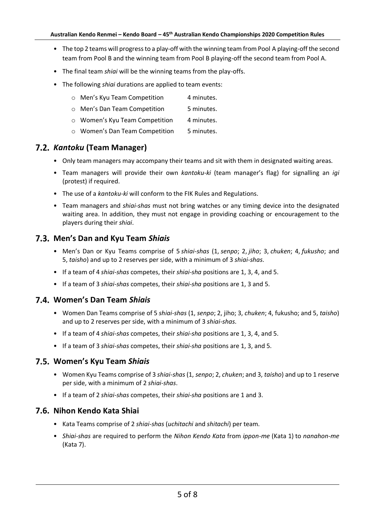- The top 2 teams will progress to a play-off with the winning team from Pool A playing-off the second team from Pool B and the winning team from Pool B playing-off the second team from Pool A.
- The final team *shiai* will be the winning teams from the play-offs.
- The following *shiai* durations are applied to team events:
	- o Men's Kyu Team Competition 4 minutes.
	- o Men's Dan Team Competition 5 minutes.
	- o Women's Kyu Team Competition 4 minutes.
	- o Women's Dan Team Competition 5 minutes.

#### *Kantoku* **(Team Manager)**

- Only team managers may accompany their teams and sit with them in designated waiting areas.
- Team managers will provide their own *kantoku-ki* (team manager's flag) for signalling an *igi* (protest) if required.
- The use of a *kantoku-ki* will conform to the FIK Rules and Regulations.
- Team managers and *shiai-shas* must not bring watches or any timing device into the designated waiting area. In addition, they must not engage in providing coaching or encouragement to the players during their *shiai*.

#### **Men's Dan and Kyu Team** *Shiais*

- Men's Dan or Kyu Teams comprise of 5 *shiai-shas* (1, *senpo*; 2, *jiho*; 3, *chuken*; 4, *fukusho*; and 5, *taisho*) and up to 2 reserves per side, with a minimum of 3 *shiai-shas*.
- If a team of 4 *shiai-shas* competes, their *shiai-sha* positions are 1, 3, 4, and 5.
- If a team of 3 *shiai-shas* competes, their *shiai-sha* positions are 1, 3 and 5.

#### **Women's Dan Team** *Shiais*

- Women Dan Teams comprise of 5 *shiai-shas* (1, *senpo*; 2, jiho; 3, *chuken*; 4, fukusho; and 5, *taisho*) and up to 2 reserves per side, with a minimum of 3 *shiai-shas*.
- If a team of 4 *shiai-shas* competes, their *shiai-sha* positions are 1, 3, 4, and 5.
- If a team of 3 *shiai-shas* competes, their *shiai-sha* positions are 1, 3, and 5.

#### **Women's Kyu Team** *Shiais*

- Women Kyu Teams comprise of 3 *shiai-shas* (1, *senpo*; 2, *chuken*; and 3, *taisho*) and up to 1 reserve per side, with a minimum of 2 *shiai-shas*.
- If a team of 2 *shiai-shas* competes, their *shiai-sha* positions are 1 and 3.

#### **Nihon Kendo Kata Shiai**

- Kata Teams comprise of 2 *shiai-shas* (*uchitachi* and *shitachi*) per team.
- *Shiai-shas* are required to perform the *Nihon Kendo Kata* from *ippon-me* (Kata 1) to *nanahon-me* (Kata 7).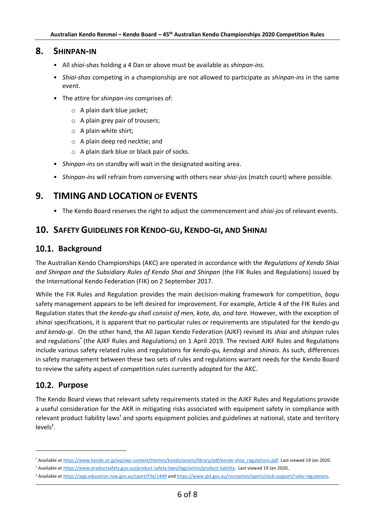#### **8. SHINPAN-IN**

- All *shiai-shas* holding a 4 Dan or above must be available as *shinpan-ins*.
- *Shiai-shas* competing in a championship are not allowed to participate as *shinpan-ins* in the same event.
- The attire for *shinpan-ins* comprises of:
	- o A plain dark blue jacket;
	- o A plain grey pair of trousers;
	- o A plain white shirt;
	- o A plain deep red necktie; and
	- o A plain dark blue or black pair of socks.
- *Shinpan-ins* on standby will wait in the designated waiting area.
- *Shinpan-ins* will refrain from conversing with others near *shiai-jos* (match court) where possible.

## **9. TIMING AND LOCATION OF EVENTS**

• The Kendo Board reserves the right to adjust the commencement and *shiai-jos* of relevant events.

## **10. SAFETY GUIDELINES FOR KENDO-GU, KENDO-GI, AND SHINAI**

## 10.1. Background

The Australian Kendo Championships (AKC) are operated in accordance with t*he Regulations of Kendo Shiai and Shinpan and the Subsidiary Rules of Kendo Shai and Shinpan* (the FIK Rules and Regulations) issued by the International Kendo Federation (FIK) on 2 September 2017.

While the FIK Rules and Regulation provides the main decision-making framework for competition, *bogu*  safety management appears to be left desired for improvement. For example, Article 4 of the FIK Rules and Regulation states that *the kendo-gu shall consist of men, kote, do, and tare.* However, with the exception of *shinai* specifications, it is apparent that no particular rules or requirements are stipulated for the *kendo-gu and kendo-gi*. On the other hand, the All Japan Kendo Federation (AJKF) revised its *shiai* and *shinpan* rules and regulations\* (the AJKF Rules and Regulations) on 1 April 2019. The revised AJKF Rules and Regulations include various safety related rules and regulations for *kendo-gu, kendogi* and *shinais*. As such, differences in safety management between these two sets of rules and regulations warrant needs for the Kendo Board to review the safety aspect of competition rules currently adopted for the AKC.

## 10.2. Purpose

The Kendo Board views that relevant safety requirements stated in the AJKF Rules and Regulations provide a useful consideration for the AKR in mitigating risks associated with equipment safety in compliance with relevant product liability laws<sup>†</sup> and sports equipment policies and guidelines at national, state and territory levels<sup>‡</sup>.

<sup>\*</sup> Available a[t https://www.kendo.or.jp/wp/wp-content/themes/kendo/assets/library/pdf/kendo-shiai\\_regulations.pdf.](https://www.kendo.or.jp/wp/wp-content/themes/kendo/assets/library/pdf/kendo-shiai_regulations.pdf) Last viewed 19 Jan 2020.

<sup>†</sup> Available a[t https://www.productsafety.gov.au/product-safety-laws/legislation/product-liability.](https://www.productsafety.gov.au/product-safety-laws/legislation/product-liability) Last viewed 19 Jan 2020,

<sup>‡</sup> Available a[t https://app.education.nsw.gov.au/sport/File/1449](https://app.education.nsw.gov.au/sport/File/1449) an[d https://www.qld.gov.au/recreation/sports/club-support/rules-regulations.](https://www.qld.gov.au/recreation/sports/club-support/rules-regulations)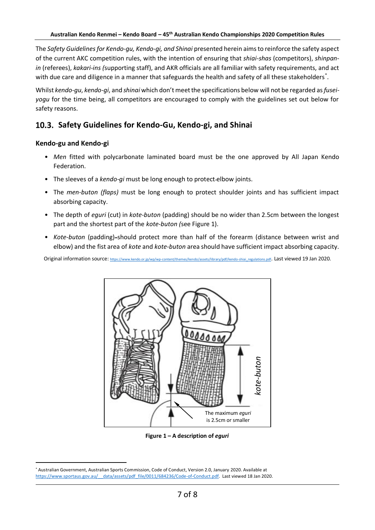The *Safety Guidelines for Kendo-gu, Kendo-gi, and Shinai* presented herein aims to reinforce the safety aspect of the current AKC competition rules, with the intention of ensuring that *shiai-shas* (competitors), *shinpanin* (referees), *kakari-ins (*supporting staff), and AKR officials are all familiar with safety requirements, and act with due care and diligence in a manner that safeguards the health and safety of all these stakeholders<sup>\*</sup>.

Whilst *kendo-gu*, *kendo-gi*, and *shinai* which don't meet the specifications below will not be regarded as *fuseiyogu* for the time being, all competitors are encouraged to comply with the guidelines set out below for safety reasons.

## **Safety Guidelines for Kendo-Gu, Kendo-gi, and Shinai**

#### **Kendo-gu and Kendo-gi**

- *Men* fitted with polycarbonate laminated board must be the one approved by All Japan Kendo Federation.
- The sleeves of a *kendo-gi* must be long enough to protect elbow joints.
- The *men-buton (flaps)* must be long enough to protect shoulder joints and has sufficient impact absorbing capacity.
- The depth of *eguri* (cut) in *kote-buton* (padding) should be no wider than 2.5cm between the longest part and the shortest part of the *kote-buton (*see Figure 1).
- *Kote-buton* (padding)-should protect more than half of the forearm (distance between wrist and elbow) and the fist area of *kote* and *kote-buton* area should have sufficient impact absorbing capacity.

Original information source: [https://www.kendo.or.jp/wp/wp-content/themes/kendo/assets/library/pdf/kendo-shiai\\_regulations.pdf](https://www.kendo.or.jp/wp/wp-content/themes/kendo/assets/library/pdf/kendo-shiai_regulations.pdf). Last viewed 19 Jan 2020.



**Figure 1 – A description of** *eguri*

<sup>\*</sup> Australian Government, Australian Sports Commission, Code of Conduct, Version 2.0, January 2020. Available at https://www.sportaus.gov.au/ data/assets/pdf file/0011/684236/Code-of-Conduct.pdf. Last viewed 18 Jan 2020.